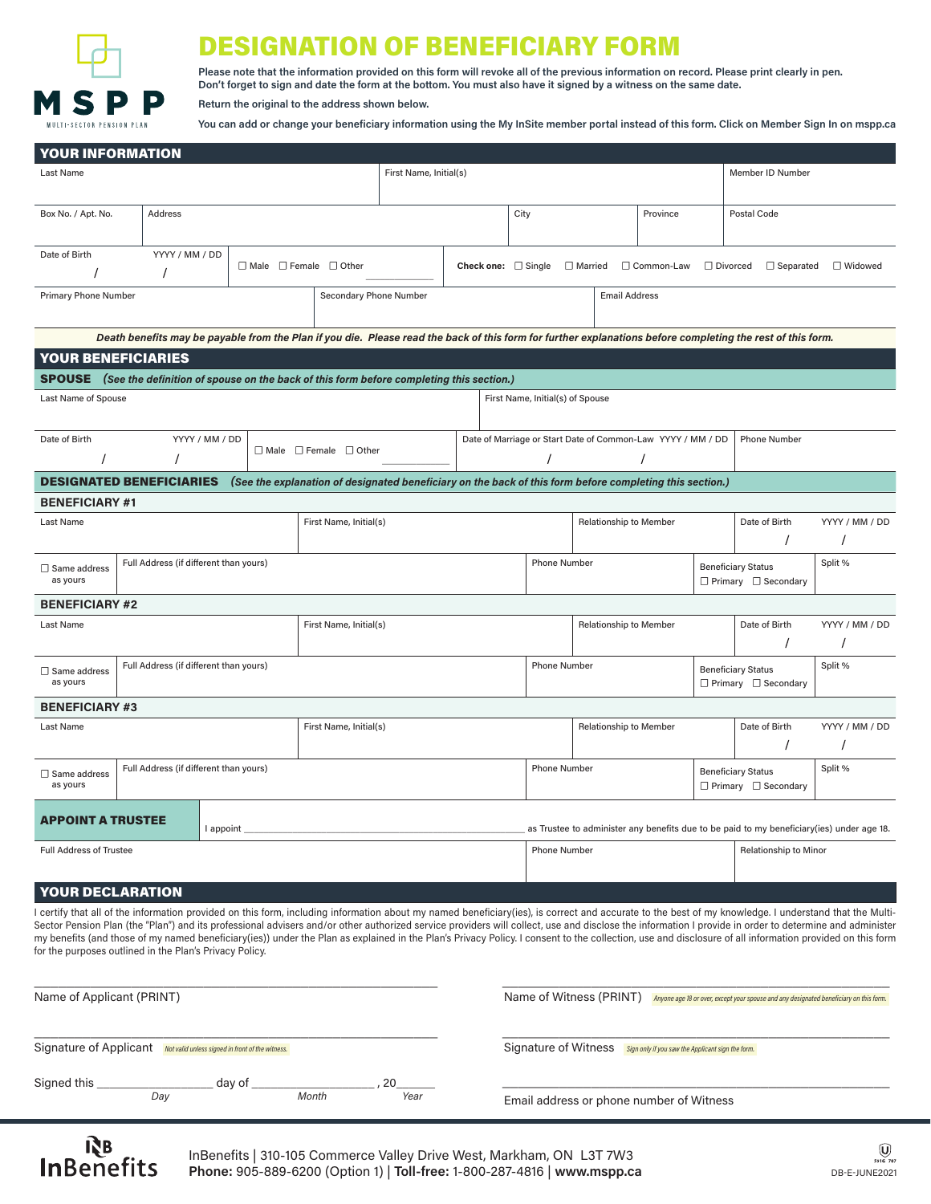

**InBenefits** 

## **ESIGNATION OF BENEFICIARY FORM**

**Please note that the information provided on this form will revoke all of the previous information on record. Please print clearly in pen. Don't forget to sign and date the form at the bottom. You must also have it signed by a witness on the same date.**

**Return the original to the address shown below.** 

**You can add or change your beneficiary information using the My InSite member portal instead of this form. Click on Member Sign In on mspp.ca**

| <b>YOUR INFORMATION</b>                                                                                                                     |                                                                                                                                                                                          |                        |                                        |                                                                    |      |  |                                                                             |                                                                        |                                                                                           |                        |                                                              |                                                              |                                                                                                                                                                                                                                                                                                                                                                                                                   |           |  |
|---------------------------------------------------------------------------------------------------------------------------------------------|------------------------------------------------------------------------------------------------------------------------------------------------------------------------------------------|------------------------|----------------------------------------|--------------------------------------------------------------------|------|--|-----------------------------------------------------------------------------|------------------------------------------------------------------------|-------------------------------------------------------------------------------------------|------------------------|--------------------------------------------------------------|--------------------------------------------------------------|-------------------------------------------------------------------------------------------------------------------------------------------------------------------------------------------------------------------------------------------------------------------------------------------------------------------------------------------------------------------------------------------------------------------|-----------|--|
| Last Name                                                                                                                                   |                                                                                                                                                                                          | First Name, Initial(s) |                                        |                                                                    |      |  |                                                                             |                                                                        |                                                                                           |                        | Member ID Number                                             |                                                              |                                                                                                                                                                                                                                                                                                                                                                                                                   |           |  |
|                                                                                                                                             |                                                                                                                                                                                          |                        |                                        |                                                                    |      |  |                                                                             |                                                                        |                                                                                           |                        |                                                              |                                                              |                                                                                                                                                                                                                                                                                                                                                                                                                   |           |  |
| Box No. / Apt. No.<br>Address                                                                                                               |                                                                                                                                                                                          |                        |                                        |                                                                    |      |  |                                                                             | City                                                                   |                                                                                           |                        | Province                                                     |                                                              | Postal Code                                                                                                                                                                                                                                                                                                                                                                                                       |           |  |
|                                                                                                                                             |                                                                                                                                                                                          |                        |                                        |                                                                    |      |  |                                                                             |                                                                        |                                                                                           |                        |                                                              |                                                              |                                                                                                                                                                                                                                                                                                                                                                                                                   |           |  |
| YYYY / MM / DD<br>Date of Birth                                                                                                             |                                                                                                                                                                                          |                        |                                        | $\Box$ Male $\Box$ Female $\Box$ Other<br>Check one: $\Box$ Single |      |  |                                                                             | □ Married<br>□ Common-Law                                              |                                                                                           |                        |                                                              | □ Divorced                                                   | $\Box$ Separated                                                                                                                                                                                                                                                                                                                                                                                                  | □ Widowed |  |
| $\prime$                                                                                                                                    |                                                                                                                                                                                          |                        |                                        |                                                                    |      |  |                                                                             |                                                                        |                                                                                           |                        |                                                              |                                                              |                                                                                                                                                                                                                                                                                                                                                                                                                   |           |  |
| <b>Primary Phone Number</b>                                                                                                                 |                                                                                                                                                                                          |                        |                                        | Secondary Phone Number                                             |      |  | <b>Email Address</b>                                                        |                                                                        |                                                                                           |                        |                                                              |                                                              |                                                                                                                                                                                                                                                                                                                                                                                                                   |           |  |
|                                                                                                                                             |                                                                                                                                                                                          |                        |                                        |                                                                    |      |  |                                                                             |                                                                        |                                                                                           |                        |                                                              |                                                              |                                                                                                                                                                                                                                                                                                                                                                                                                   |           |  |
|                                                                                                                                             | Death benefits may be payable from the Plan if you die. Please read the back of this form for further explanations before completing the rest of this form.<br><b>YOUR BENEFICIARIES</b> |                        |                                        |                                                                    |      |  |                                                                             |                                                                        |                                                                                           |                        |                                                              |                                                              |                                                                                                                                                                                                                                                                                                                                                                                                                   |           |  |
|                                                                                                                                             | (See the definition of spouse on the back of this form before completing this section.)                                                                                                  |                        |                                        |                                                                    |      |  |                                                                             |                                                                        |                                                                                           |                        |                                                              |                                                              |                                                                                                                                                                                                                                                                                                                                                                                                                   |           |  |
| <b>SPOUSE</b>                                                                                                                               |                                                                                                                                                                                          |                        |                                        |                                                                    |      |  |                                                                             |                                                                        |                                                                                           |                        |                                                              |                                                              |                                                                                                                                                                                                                                                                                                                                                                                                                   |           |  |
| Last Name of Spouse                                                                                                                         |                                                                                                                                                                                          |                        |                                        |                                                                    |      |  |                                                                             | First Name, Initial(s) of Spouse                                       |                                                                                           |                        |                                                              |                                                              |                                                                                                                                                                                                                                                                                                                                                                                                                   |           |  |
| YYYY / MM / DD<br>Date of Birth                                                                                                             |                                                                                                                                                                                          |                        |                                        |                                                                    |      |  | Date of Marriage or Start Date of Common-Law YYYY / MM / DD<br>Phone Number |                                                                        |                                                                                           |                        |                                                              |                                                              |                                                                                                                                                                                                                                                                                                                                                                                                                   |           |  |
|                                                                                                                                             |                                                                                                                                                                                          |                        | $\Box$ Male $\Box$ Female $\Box$ Other |                                                                    |      |  |                                                                             |                                                                        |                                                                                           |                        |                                                              |                                                              |                                                                                                                                                                                                                                                                                                                                                                                                                   |           |  |
| <b>DESIGNATED BENEFICIARIES</b><br>(See the explanation of designated beneficiary on the back of this form before completing this section.) |                                                                                                                                                                                          |                        |                                        |                                                                    |      |  |                                                                             |                                                                        |                                                                                           |                        |                                                              |                                                              |                                                                                                                                                                                                                                                                                                                                                                                                                   |           |  |
| <b>BENEFICIARY #1</b>                                                                                                                       |                                                                                                                                                                                          |                        |                                        |                                                                    |      |  |                                                                             |                                                                        |                                                                                           |                        |                                                              |                                                              |                                                                                                                                                                                                                                                                                                                                                                                                                   |           |  |
| First Name, Initial(s)<br>Last Name                                                                                                         |                                                                                                                                                                                          |                        |                                        |                                                                    |      |  |                                                                             |                                                                        |                                                                                           | Relationship to Member |                                                              | Date of Birth                                                | YYYY / MM / DD                                                                                                                                                                                                                                                                                                                                                                                                    |           |  |
|                                                                                                                                             |                                                                                                                                                                                          |                        |                                        |                                                                    |      |  |                                                                             |                                                                        |                                                                                           |                        |                                                              |                                                              |                                                                                                                                                                                                                                                                                                                                                                                                                   |           |  |
| □ Same address                                                                                                                              | Full Address (if different than yours)                                                                                                                                                   |                        |                                        |                                                                    |      |  | <b>Phone Number</b>                                                         |                                                                        |                                                                                           |                        |                                                              | <b>Beneficiary Status</b>                                    | Split %                                                                                                                                                                                                                                                                                                                                                                                                           |           |  |
| as yours                                                                                                                                    |                                                                                                                                                                                          |                        |                                        |                                                                    |      |  |                                                                             |                                                                        |                                                                                           |                        |                                                              | $\Box$ Primary $\Box$ Secondary                              |                                                                                                                                                                                                                                                                                                                                                                                                                   |           |  |
| <b>BENEFICIARY #2</b>                                                                                                                       |                                                                                                                                                                                          |                        |                                        |                                                                    |      |  |                                                                             |                                                                        |                                                                                           |                        |                                                              |                                                              |                                                                                                                                                                                                                                                                                                                                                                                                                   |           |  |
| Last Name                                                                                                                                   |                                                                                                                                                                                          |                        |                                        | First Name, Initial(s)                                             |      |  |                                                                             | <b>Relationship to Member</b>                                          |                                                                                           |                        |                                                              | Date of Birth                                                | YYYY / MM / DD                                                                                                                                                                                                                                                                                                                                                                                                    |           |  |
|                                                                                                                                             |                                                                                                                                                                                          |                        |                                        |                                                                    |      |  |                                                                             |                                                                        |                                                                                           |                        |                                                              |                                                              |                                                                                                                                                                                                                                                                                                                                                                                                                   |           |  |
| Full Address (if different than yours)<br>$\Box$ Same address<br>as yours                                                                   |                                                                                                                                                                                          |                        |                                        |                                                                    |      |  | <b>Phone Number</b>                                                         |                                                                        |                                                                                           |                        | <b>Beneficiary Status</b><br>$\Box$ Primary $\Box$ Secondary | Split %                                                      |                                                                                                                                                                                                                                                                                                                                                                                                                   |           |  |
| <b>BENEFICIARY #3</b>                                                                                                                       |                                                                                                                                                                                          |                        |                                        |                                                                    |      |  |                                                                             |                                                                        |                                                                                           |                        |                                                              |                                                              |                                                                                                                                                                                                                                                                                                                                                                                                                   |           |  |
| Last Name                                                                                                                                   |                                                                                                                                                                                          |                        |                                        | First Name, Initial(s)                                             |      |  | <b>Relationship to Member</b>                                               |                                                                        |                                                                                           |                        |                                                              | Date of Birth                                                | YYYY / MM / DD                                                                                                                                                                                                                                                                                                                                                                                                    |           |  |
| Full Address (if different than yours)<br>□ Same address<br>as yours                                                                        |                                                                                                                                                                                          |                        |                                        |                                                                    |      |  |                                                                             | <b>Phone Number</b>                                                    |                                                                                           |                        |                                                              | <b>Beneficiary Status</b><br>$\Box$ Primary $\Box$ Secondary | Split %                                                                                                                                                                                                                                                                                                                                                                                                           |           |  |
|                                                                                                                                             |                                                                                                                                                                                          |                        |                                        |                                                                    |      |  |                                                                             |                                                                        |                                                                                           |                        |                                                              |                                                              |                                                                                                                                                                                                                                                                                                                                                                                                                   |           |  |
| APPOINT A TRUSTEE                                                                                                                           |                                                                                                                                                                                          | l appoint              |                                        |                                                                    |      |  |                                                                             |                                                                        | as Trustee to administer any benefits due to be paid to my beneficiary(ies) under age 18. |                        |                                                              |                                                              |                                                                                                                                                                                                                                                                                                                                                                                                                   |           |  |
| <b>Full Address of Trustee</b>                                                                                                              |                                                                                                                                                                                          |                        |                                        |                                                                    |      |  |                                                                             |                                                                        | <b>Phone Number</b>                                                                       |                        |                                                              |                                                              | <b>Relationship to Minor</b>                                                                                                                                                                                                                                                                                                                                                                                      |           |  |
|                                                                                                                                             |                                                                                                                                                                                          |                        |                                        |                                                                    |      |  |                                                                             |                                                                        |                                                                                           |                        |                                                              |                                                              |                                                                                                                                                                                                                                                                                                                                                                                                                   |           |  |
| YOUR DECLARATION                                                                                                                            |                                                                                                                                                                                          |                        |                                        |                                                                    |      |  |                                                                             |                                                                        |                                                                                           |                        |                                                              |                                                              |                                                                                                                                                                                                                                                                                                                                                                                                                   |           |  |
|                                                                                                                                             |                                                                                                                                                                                          |                        |                                        |                                                                    |      |  |                                                                             |                                                                        |                                                                                           |                        |                                                              |                                                              | l certify that all of the information provided on this form, including information about my named beneficiary(ies), is correct and accurate to the best of my knowledge. I understand that the Multi-                                                                                                                                                                                                             |           |  |
|                                                                                                                                             |                                                                                                                                                                                          |                        |                                        |                                                                    |      |  |                                                                             |                                                                        |                                                                                           |                        |                                                              |                                                              | Sector Pension Plan (the "Plan") and its professional advisers and/or other authorized service providers will collect, use and disclose the information I provide in order to determine and administer<br>my benefits (and those of my named beneficiary(ies)) under the Plan as explained in the Plan's Privacy Policy. I consent to the collection, use and disclosure of all information provided on this form |           |  |
| for the purposes outlined in the Plan's Privacy Policy.                                                                                     |                                                                                                                                                                                          |                        |                                        |                                                                    |      |  |                                                                             |                                                                        |                                                                                           |                        |                                                              |                                                              |                                                                                                                                                                                                                                                                                                                                                                                                                   |           |  |
|                                                                                                                                             |                                                                                                                                                                                          |                        |                                        |                                                                    |      |  |                                                                             |                                                                        |                                                                                           |                        |                                                              |                                                              |                                                                                                                                                                                                                                                                                                                                                                                                                   |           |  |
| Name of Applicant (PRINT)<br>Name of Witness (PRINT) Anyone age 18 or over, except your spouse and any designated beneficiary on this form. |                                                                                                                                                                                          |                        |                                        |                                                                    |      |  |                                                                             |                                                                        |                                                                                           |                        |                                                              |                                                              |                                                                                                                                                                                                                                                                                                                                                                                                                   |           |  |
|                                                                                                                                             |                                                                                                                                                                                          |                        |                                        |                                                                    |      |  |                                                                             |                                                                        |                                                                                           |                        |                                                              |                                                              |                                                                                                                                                                                                                                                                                                                                                                                                                   |           |  |
| Signature of Applicant Not valid unless signed in front of the witness.                                                                     |                                                                                                                                                                                          |                        |                                        |                                                                    |      |  |                                                                             | Signature of Witness Sign only if you saw the Applicant sign the form. |                                                                                           |                        |                                                              |                                                              |                                                                                                                                                                                                                                                                                                                                                                                                                   |           |  |
| Signed this _                                                                                                                               | ___________ day of __                                                                                                                                                                    |                        |                                        |                                                                    | , 20 |  |                                                                             |                                                                        |                                                                                           |                        |                                                              |                                                              |                                                                                                                                                                                                                                                                                                                                                                                                                   |           |  |
| Day                                                                                                                                         |                                                                                                                                                                                          |                        |                                        | Month<br>Year                                                      |      |  |                                                                             | Email address or phone number of Witness                               |                                                                                           |                        |                                                              |                                                              |                                                                                                                                                                                                                                                                                                                                                                                                                   |           |  |
|                                                                                                                                             |                                                                                                                                                                                          |                        |                                        |                                                                    |      |  |                                                                             |                                                                        |                                                                                           |                        |                                                              |                                                              |                                                                                                                                                                                                                                                                                                                                                                                                                   |           |  |
| <b>RR</b>                                                                                                                                   |                                                                                                                                                                                          |                        |                                        |                                                                    |      |  |                                                                             |                                                                        |                                                                                           |                        |                                                              |                                                              |                                                                                                                                                                                                                                                                                                                                                                                                                   | ⋒         |  |